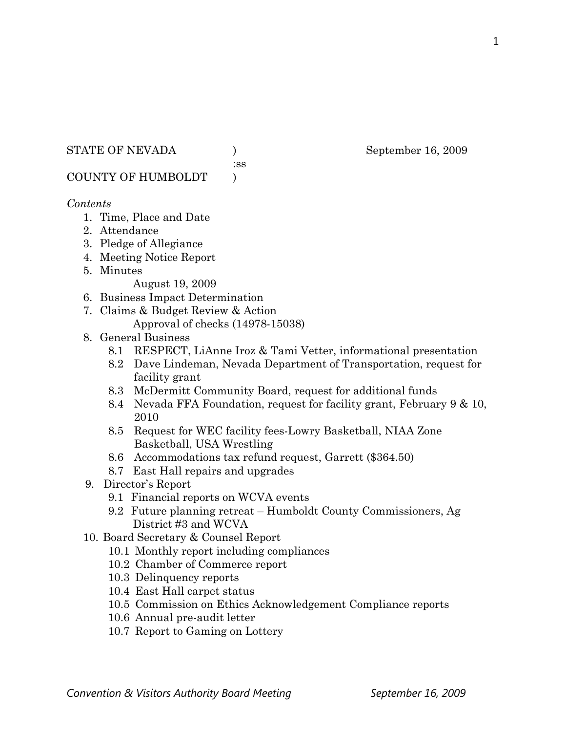#### STATE OF NEVADA ) September 16, 2009

:ss

COUNTY OF HUMBOLDT )

#### *Contents*

- 1. Time, Place and Date
- 2. Attendance
- 3. Pledge of Allegiance
- 4. Meeting Notice Report
- 5. Minutes

August 19, 2009

- 6. Business Impact Determination
- 7. Claims & Budget Review & Action
	- Approval of checks (14978-15038)
- 8. General Business
	- 8.1 RESPECT, LiAnne Iroz & Tami Vetter, informational presentation
	- 8.2 Dave Lindeman, Nevada Department of Transportation, request for facility grant
	- 8.3 McDermitt Community Board, request for additional funds
	- 8.4 Nevada FFA Foundation, request for facility grant, February 9 & 10, 2010
	- 8.5 Request for WEC facility fees-Lowry Basketball, NIAA Zone Basketball, USA Wrestling
	- 8.6 Accommodations tax refund request, Garrett (\$364.50)
	- 8.7 East Hall repairs and upgrades
- 9. Director's Report
	- 9.1 Financial reports on WCVA events
	- 9.2 Future planning retreat Humboldt County Commissioners, Ag District #3 and WCVA
- 10. Board Secretary & Counsel Report
	- 10.1 Monthly report including compliances
	- 10.2 Chamber of Commerce report
	- 10.3 Delinquency reports
	- 10.4 East Hall carpet status
	- 10.5 Commission on Ethics Acknowledgement Compliance reports
	- 10.6 Annual pre-audit letter
	- 10.7 Report to Gaming on Lottery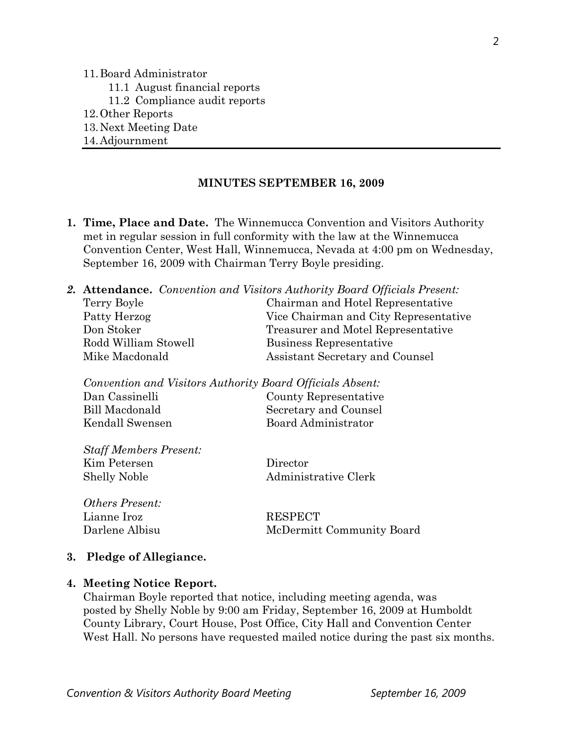11.Board Administrator

- 11.1 August financial reports
- 11.2 Compliance audit reports
- 12.Other Reports
- 13.Next Meeting Date
- 14.Adjournment

#### **MINUTES SEPTEMBER 16, 2009**

**1. Time, Place and Date.** The Winnemucca Convention and Visitors Authority met in regular session in full conformity with the law at the Winnemucca Convention Center, West Hall, Winnemucca, Nevada at 4:00 pm on Wednesday, September 16, 2009 with Chairman Terry Boyle presiding.

|                      | <b>2. Attendance.</b> Convention and Visitors Authority Board Officials Present: |
|----------------------|----------------------------------------------------------------------------------|
| Terry Boyle          | Chairman and Hotel Representative                                                |
| Patty Herzog         | Vice Chairman and City Representative                                            |
| Don Stoker           | Treasurer and Motel Representative                                               |
| Rodd William Stowell | Business Representative                                                          |
| Mike Macdonald       | Assistant Secretary and Counsel                                                  |
|                      |                                                                                  |

| Convention and Visitors Authority Board Officials Absent: |                       |
|-----------------------------------------------------------|-----------------------|
| Dan Cassinelli                                            | County Representative |
| Bill Macdonald                                            | Secretary and Counsel |
| Kendall Swensen                                           | Board Administrator   |
|                                                           |                       |

| <b>Staff Members Present:</b> |  |
|-------------------------------|--|
| Kim Petersen                  |  |
| Shelly Noble                  |  |

*Others Present:*  Lianne Iroz RESPECT

Director Administrative Clerk

Darlene Albisu McDermitt Community Board

#### **3. Pledge of Allegiance.**

#### **4. Meeting Notice Report.**

Chairman Boyle reported that notice, including meeting agenda, was posted by Shelly Noble by 9:00 am Friday, September 16, 2009 at Humboldt County Library, Court House, Post Office, City Hall and Convention Center West Hall. No persons have requested mailed notice during the past six months.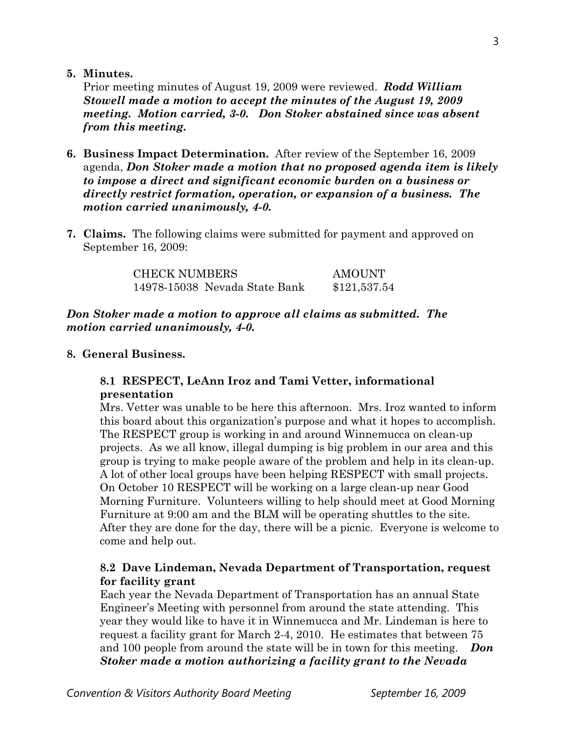**5. Minutes.** 

Prior meeting minutes of August 19, 2009 were reviewed. *Rodd William Stowell made a motion to accept the minutes of the August 19, 2009 meeting. Motion carried, 3-0. Don Stoker abstained since was absent from this meeting.* 

- **6. Business Impact Determination.** After review of the September 16, 2009 agenda, *Don Stoker made a motion that no proposed agenda item is likely to impose a direct and significant economic burden on a business or directly restrict formation, operation, or expansion of a business. The motion carried unanimously, 4-0.*
- **7. Claims.** The following claims were submitted for payment and approved on September 16, 2009:

| <b>CHECK NUMBERS</b>          | AMOUNT       |
|-------------------------------|--------------|
| 14978-15038 Nevada State Bank | \$121,537.54 |

## *Don Stoker made a motion to approve all claims as submitted. The motion carried unanimously, 4-0.*

### **8. General Business.**

### **8.1 RESPECT, LeAnn Iroz and Tami Vetter, informational presentation**

Mrs. Vetter was unable to be here this afternoon. Mrs. Iroz wanted to inform this board about this organization's purpose and what it hopes to accomplish. The RESPECT group is working in and around Winnemucca on clean-up projects. As we all know, illegal dumping is big problem in our area and this group is trying to make people aware of the problem and help in its clean-up. A lot of other local groups have been helping RESPECT with small projects. On October 10 RESPECT will be working on a large clean-up near Good Morning Furniture. Volunteers willing to help should meet at Good Morning Furniture at 9:00 am and the BLM will be operating shuttles to the site. After they are done for the day, there will be a picnic. Everyone is welcome to come and help out.

## **8.2 Dave Lindeman, Nevada Department of Transportation, request for facility grant**

Each year the Nevada Department of Transportation has an annual State Engineer's Meeting with personnel from around the state attending. This year they would like to have it in Winnemucca and Mr. Lindeman is here to request a facility grant for March 2-4, 2010. He estimates that between 75 and 100 people from around the state will be in town for this meeting. *Don Stoker made a motion authorizing a facility grant to the Nevada*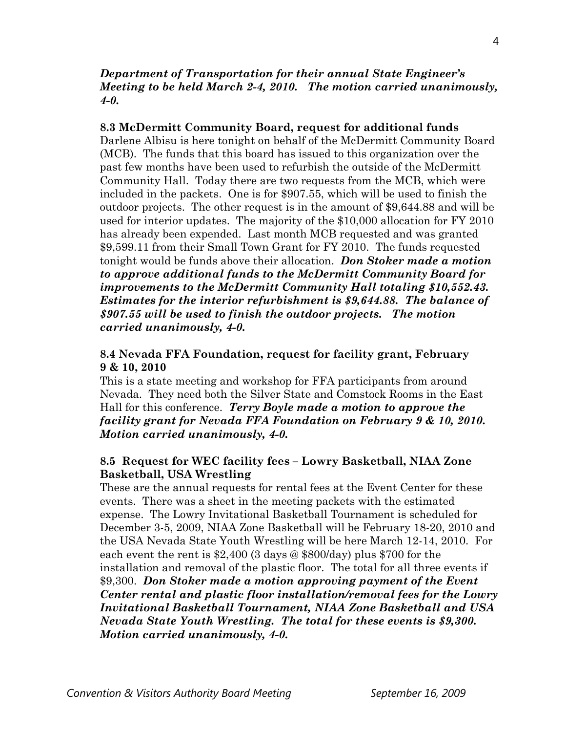#### *Department of Transportation for their annual State Engineer's Meeting to be held March 2-4, 2010. The motion carried unanimously, 4-0.*

### **8.3 McDermitt Community Board, request for additional funds**

Darlene Albisu is here tonight on behalf of the McDermitt Community Board (MCB). The funds that this board has issued to this organization over the past few months have been used to refurbish the outside of the McDermitt Community Hall. Today there are two requests from the MCB, which were included in the packets. One is for \$907.55, which will be used to finish the outdoor projects. The other request is in the amount of \$9,644.88 and will be used for interior updates. The majority of the \$10,000 allocation for FY 2010 has already been expended. Last month MCB requested and was granted \$9,599.11 from their Small Town Grant for FY 2010. The funds requested tonight would be funds above their allocation. *Don Stoker made a motion to approve additional funds to the McDermitt Community Board for improvements to the McDermitt Community Hall totaling \$10,552.43. Estimates for the interior refurbishment is \$9,644.88. The balance of \$907.55 will be used to finish the outdoor projects. The motion carried unanimously, 4-0.* 

## **8.4 Nevada FFA Foundation, request for facility grant, February 9 & 10, 2010**

This is a state meeting and workshop for FFA participants from around Nevada. They need both the Silver State and Comstock Rooms in the East Hall for this conference. *Terry Boyle made a motion to approve the facility grant for Nevada FFA Foundation on February 9 & 10, 2010. Motion carried unanimously, 4-0.*

## **8.5 Request for WEC facility fees – Lowry Basketball, NIAA Zone Basketball, USA Wrestling**

These are the annual requests for rental fees at the Event Center for these events. There was a sheet in the meeting packets with the estimated expense. The Lowry Invitational Basketball Tournament is scheduled for December 3-5, 2009, NIAA Zone Basketball will be February 18-20, 2010 and the USA Nevada State Youth Wrestling will be here March 12-14, 2010. For each event the rent is \$2,400 (3 days @ \$800/day) plus \$700 for the installation and removal of the plastic floor. The total for all three events if \$9,300. *Don Stoker made a motion approving payment of the Event Center rental and plastic floor installation/removal fees for the Lowry Invitational Basketball Tournament, NIAA Zone Basketball and USA Nevada State Youth Wrestling. The total for these events is \$9,300. Motion carried unanimously, 4-0.*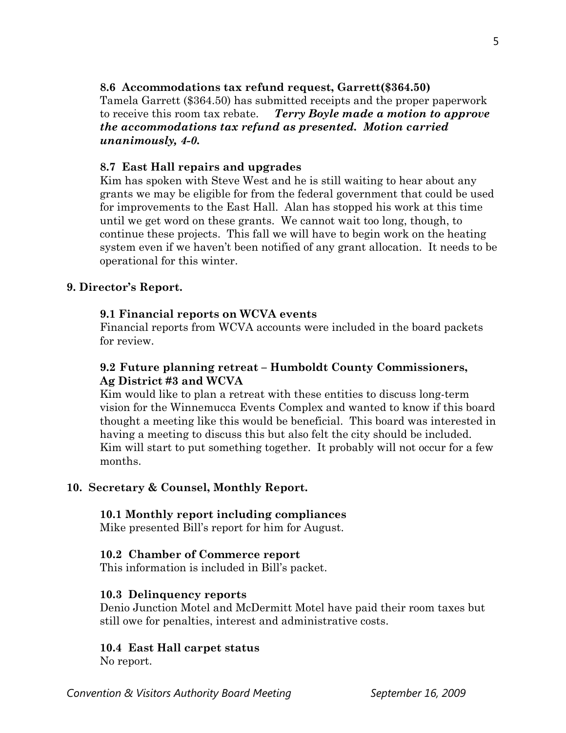## **8.6 Accommodations tax refund request, Garrett(\$364.50)**

Tamela Garrett (\$364.50) has submitted receipts and the proper paperwork to receive this room tax rebate. *Terry Boyle made a motion to approve the accommodations tax refund as presented. Motion carried unanimously, 4-0.*

## **8.7 East Hall repairs and upgrades**

Kim has spoken with Steve West and he is still waiting to hear about any grants we may be eligible for from the federal government that could be used for improvements to the East Hall. Alan has stopped his work at this time until we get word on these grants. We cannot wait too long, though, to continue these projects. This fall we will have to begin work on the heating system even if we haven't been notified of any grant allocation. It needs to be operational for this winter.

## **9. Director's Report.**

## **9.1 Financial reports on WCVA events**

Financial reports from WCVA accounts were included in the board packets for review.

## **9.2 Future planning retreat – Humboldt County Commissioners, Ag District #3 and WCVA**

Kim would like to plan a retreat with these entities to discuss long-term vision for the Winnemucca Events Complex and wanted to know if this board thought a meeting like this would be beneficial. This board was interested in having a meeting to discuss this but also felt the city should be included. Kim will start to put something together. It probably will not occur for a few months.

## **10. Secretary & Counsel, Monthly Report.**

### **10.1 Monthly report including compliances**

Mike presented Bill's report for him for August.

### **10.2 Chamber of Commerce report**

This information is included in Bill's packet.

### **10.3 Delinquency reports**

Denio Junction Motel and McDermitt Motel have paid their room taxes but still owe for penalties, interest and administrative costs.

## **10.4 East Hall carpet status**

No report.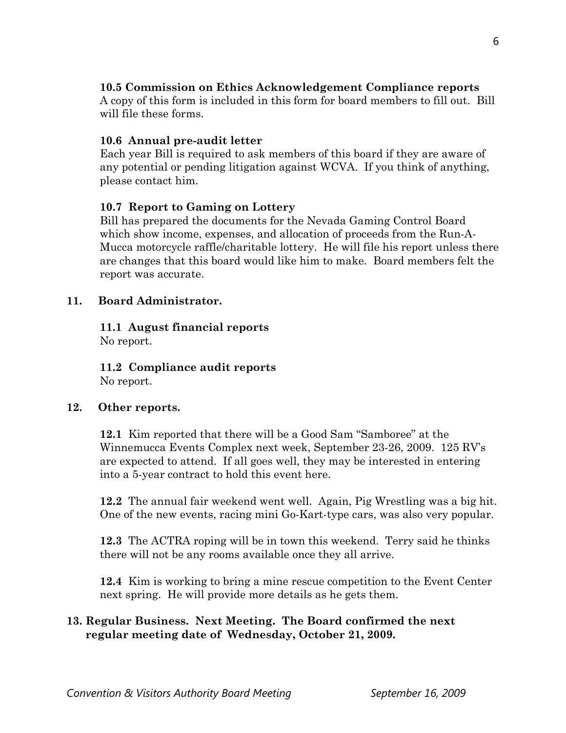# **10.5 Commission on Ethics Acknowledgement Compliance reports**

A copy of this form is included in this form for board members to fill out. Bill will file these forms.

# **10.6 Annual pre-audit letter**

Each year Bill is required to ask members of this board if they are aware of any potential or pending litigation against WCVA. If you think of anything, please contact him.

## **10.7 Report to Gaming on Lottery**

Bill has prepared the documents for the Nevada Gaming Control Board which show income, expenses, and allocation of proceeds from the Run-A- Mucca motorcycle raffle/charitable lottery. He will file his report unless there are changes that this board would like him to make. Board members felt the report was accurate.

## **11. Board Administrator.**

**11.1 August financial reports**  No report.

**11.2 Compliance audit reports**  No report.

## **12. Other reports.**

 **12.1** Kim reported that there will be a Good Sam "Samboree" at the Winnemucca Events Complex next week, September 23-26, 2009. 125 RV's are expected to attend. If all goes well, they may be interested in entering into a 5-year contract to hold this event here.

**12.2** The annual fair weekend went well. Again, Pig Wrestling was a big hit. One of the new events, racing mini Go-Kart-type cars, was also very popular.

**12.3** The ACTRA roping will be in town this weekend. Terry said he thinks there will not be any rooms available once they all arrive.

**12.4** Kim is working to bring a mine rescue competition to the Event Center next spring. He will provide more details as he gets them.

# **13. Regular Business. Next Meeting. The Board confirmed the next regular meeting date of Wednesday, October 21, 2009.**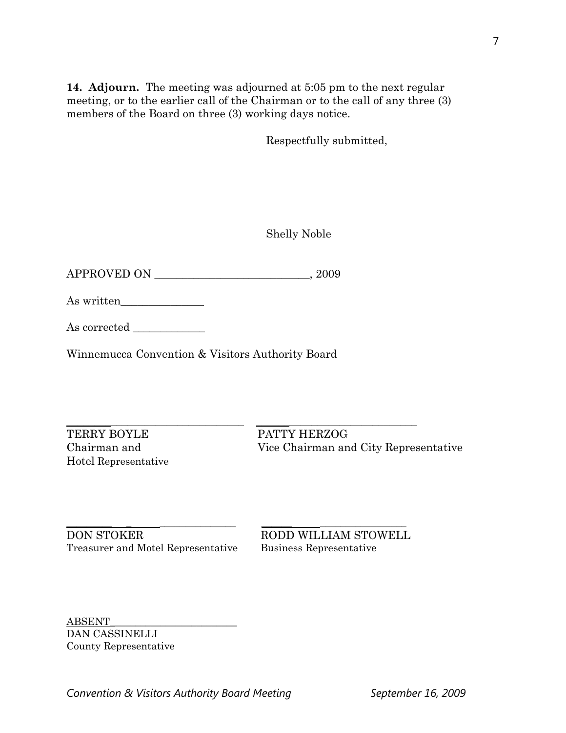**14. Adjourn.** The meeting was adjourned at 5:05 pm to the next regular meeting, or to the earlier call of the Chairman or to the call of any three (3) members of the Board on three (3) working days notice.

Respectfully submitted,

Shelly Noble

APPROVED ON \_\_\_\_\_\_\_\_\_\_\_\_\_\_\_\_\_\_\_\_\_\_\_\_\_\_\_\_, 2009

| As written |  |
|------------|--|
|------------|--|

As corrected

Winnemucca Convention & Visitors Authority Board

 $\_$  ,  $\_$  ,  $\_$  ,  $\_$  ,  $\_$  ,  $\_$  ,  $\_$  ,  $\_$  ,  $\_$  ,  $\_$  ,  $\_$  ,  $\_$  ,  $\_$  ,  $\_$  ,  $\_$  ,  $\_$  ,  $\_$  ,  $\_$  ,  $\_$  ,  $\_$  ,  $\_$  ,  $\_$  ,  $\_$  ,  $\_$  ,  $\_$  ,  $\_$  ,  $\_$  ,  $\_$  ,  $\_$  ,  $\_$  ,  $\_$  ,  $\_$  ,  $\_$  ,  $\_$  ,  $\_$  ,  $\_$  ,  $\_$  , TERRY BOYLE PATTY HERZOG Hotel Representative

Chairman and Vice Chairman and City Representative

\_\_\_\_\_\_\_\_\_ \_ \_\_\_\_\_\_\_\_\_\_\_\_\_\_\_ \_\_\_\_\_\_ \_\_\_\_\_\_\_\_\_\_\_\_\_\_\_\_\_ DON STOKER RODD WILLIAM STOWELL Treasurer and Motel Representative Business Representative

ABSENT\_\_\_\_\_\_\_\_\_\_\_\_\_\_\_\_\_\_\_\_\_\_\_\_\_ DAN CASSINELLI County Representative

**Convention & Visitors Authority Board Meeting September 16, 2009**